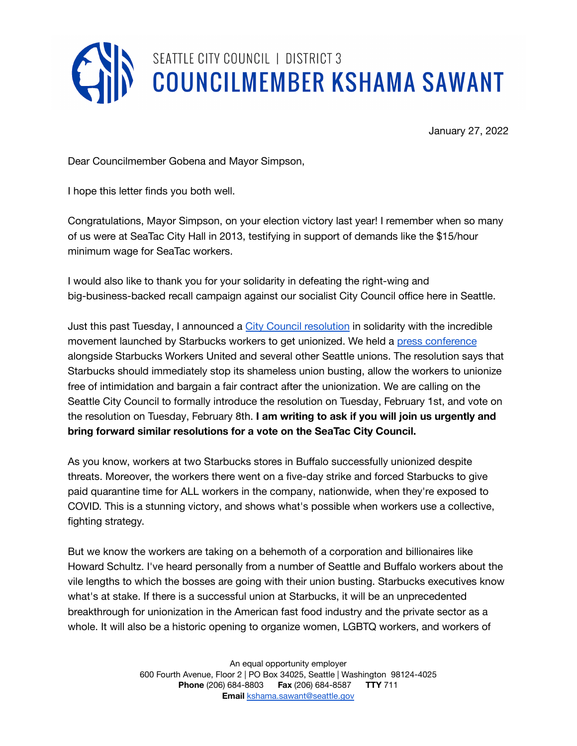

January 27, 2022

Dear Councilmember Gobena and Mayor Simpson,

I hope this letter finds you both well.

Congratulations, Mayor Simpson, on your election victory last year! I remember when so many of us were at SeaTac City Hall in 2013, testifying in support of demands like the \$15/hour minimum wage for SeaTac workers.

I would also like to thank you for your solidarity in defeating the right-wing and big-business-backed recall campaign against our socialist City Council office here in Seattle.

Just this past Tuesday, I announced a City Council [resolution](https://docs.google.com/document/d/1i9syqPwlANDxxsazNPW-IhCSQJJs48P9/edit) in solidarity with the incredible movement launched by Starbucks workers to get unionized. We held a press [conference](https://seattlechannel.org/mayor-and-council/city-council/council-press-conferences?videoid=x134960) alongside Starbucks Workers United and several other Seattle unions. The resolution says that Starbucks should immediately stop its shameless union busting, allow the workers to unionize free of intimidation and bargain a fair contract after the unionization. We are calling on the Seattle City Council to formally introduce the resolution on Tuesday, February 1st, and vote on the resolution on Tuesday, February 8th. **I am writing to ask if you will join us urgently and bring forward similar resolutions for a vote on the SeaTac City Council.**

As you know, workers at two Starbucks stores in Buffalo successfully unionized despite threats. Moreover, the workers there went on a five-day strike and forced Starbucks to give paid quarantine time for ALL workers in the company, nationwide, when they're exposed to COVID. This is a stunning victory, and shows what's possible when workers use a collective, fighting strategy.

But we know the workers are taking on a behemoth of a corporation and billionaires like Howard Schultz. I've heard personally from a number of Seattle and Buffalo workers about the vile lengths to which the bosses are going with their union busting. Starbucks executives know what's at stake. If there is a successful union at Starbucks, it will be an unprecedented breakthrough for unionization in the American fast food industry and the private sector as a whole. It will also be a historic opening to organize women, LGBTQ workers, and workers of